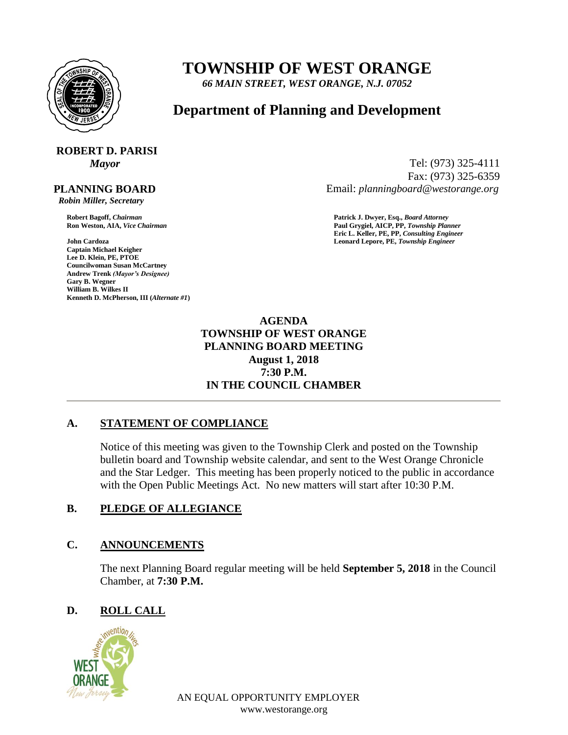

# **TOWNSHIP OF WEST ORANGE**

*66 MAIN STREET, WEST ORANGE, N.J. 07052*

# **Department of Planning and Development**

# **ROBERT D. PARISI**

#### **PLANNING BOARD**

 *Robin Miller, Secretary*

**John Cardoza Leonard Lepore, PE,** *Township Engineer* **Captain Michael Keigher Lee D. Klein, PE, PTOE Councilwoman Susan McCartney Andrew Trenk** *(Mayor's Designee)* **Gary B. Wegner William B. Wilkes II Kenneth D. McPherson, III (***Alternate #1***)**

*Mayor* Tel: (973) 325-4111 Fax: (973) 325-6359 Email: *planningboard@westorange.org*

**Robert Bagoff,** *Chairman* **Patrick J. Dwyer, Esq.,** *Board Attorney* **Ron Weston, AIA,** *Vice Chairman* **Paul Grygiel, AICP, PP,** *Township Planner* **Eric L. Keller, PE, PP,** *Consulting Engineer*

> **AGENDA TOWNSHIP OF WEST ORANGE PLANNING BOARD MEETING August 1, 2018 7:30 P.M. IN THE COUNCIL CHAMBER**

# **A. STATEMENT OF COMPLIANCE**

Notice of this meeting was given to the Township Clerk and posted on the Township bulletin board and Township website calendar, and sent to the West Orange Chronicle and the Star Ledger. This meeting has been properly noticed to the public in accordance with the Open Public Meetings Act. No new matters will start after 10:30 P.M.

# **B. PLEDGE OF ALLEGIANCE**

#### **C. ANNOUNCEMENTS**

The next Planning Board regular meeting will be held **September 5, 2018** in the Council Chamber, at **7:30 P.M.**

# **D. ROLL CALL**